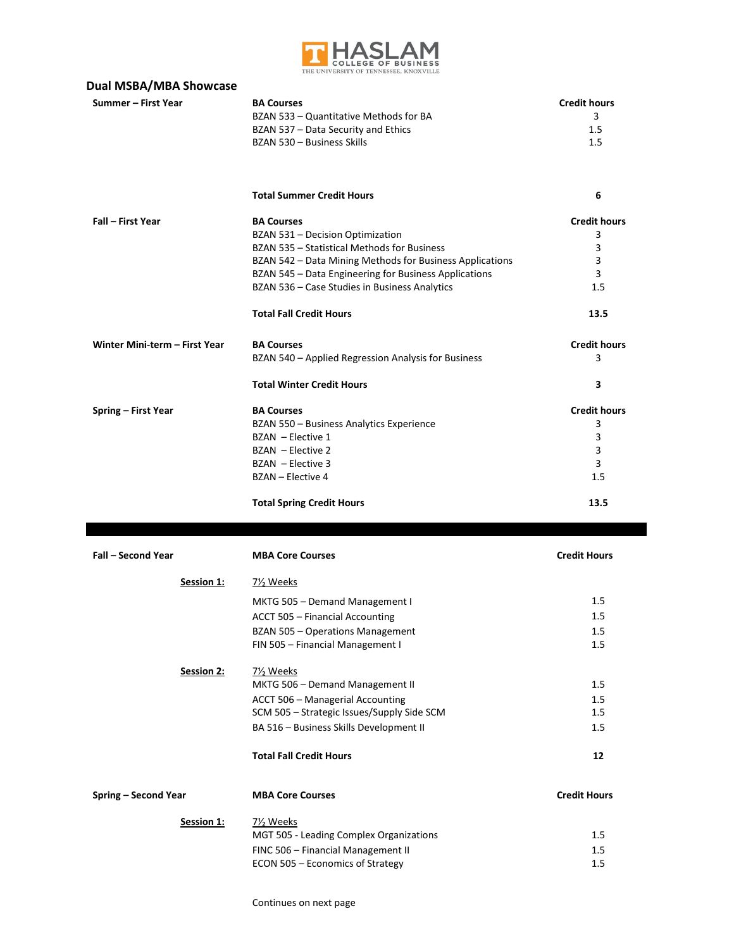

| <b>Dual MSBA/MBA Showcase</b> |                                                                             |                     |
|-------------------------------|-----------------------------------------------------------------------------|---------------------|
| Summer - First Year           | <b>BA Courses</b>                                                           | <b>Credit hours</b> |
|                               | BZAN 533 - Quantitative Methods for BA                                      | 3                   |
|                               | BZAN 537 - Data Security and Ethics                                         | 1.5                 |
|                               | BZAN 530 - Business Skills                                                  | 1.5                 |
|                               |                                                                             |                     |
|                               | <b>Total Summer Credit Hours</b>                                            | 6                   |
| Fall - First Year             | <b>BA Courses</b>                                                           | <b>Credit hours</b> |
|                               | BZAN 531 - Decision Optimization                                            | 3                   |
|                               | BZAN 535 - Statistical Methods for Business                                 | 3                   |
|                               | BZAN 542 - Data Mining Methods for Business Applications                    | 3                   |
|                               | BZAN 545 - Data Engineering for Business Applications                       | 3                   |
|                               | BZAN 536 - Case Studies in Business Analytics                               | 1.5                 |
|                               | <b>Total Fall Credit Hours</b>                                              | 13.5                |
| Winter Mini-term - First Year | <b>BA Courses</b>                                                           | <b>Credit hours</b> |
|                               | BZAN 540 - Applied Regression Analysis for Business                         | 3                   |
|                               | <b>Total Winter Credit Hours</b>                                            | 3                   |
| Spring - First Year           | <b>BA Courses</b>                                                           | <b>Credit hours</b> |
|                               | BZAN 550 - Business Analytics Experience                                    | 3                   |
|                               | BZAN - Elective 1                                                           | 3                   |
|                               | BZAN - Elective 2                                                           | 3                   |
|                               | BZAN - Elective 3                                                           | 3                   |
|                               | BZAN - Elective 4                                                           | 1.5                 |
|                               | <b>Total Spring Credit Hours</b>                                            | 13.5                |
| Fall - Second Year            | <b>MBA Core Courses</b>                                                     | <b>Credit Hours</b> |
| Session 1:                    | 7 <sup>1</sup> / <sub>2</sub> Weeks                                         |                     |
|                               | MKTG 505 - Demand Management I                                              | 1.5                 |
|                               | ACCT 505 - Financial Accounting                                             | $1.5\,$             |
|                               |                                                                             |                     |
|                               | <b>BZAN 505 - Operations Management</b><br>FIN 505 - Financial Management I | 1.5<br>1.5          |
| Session 2:                    | 7 <sup>y</sup> <sub>2</sub> Weeks                                           |                     |
|                               | MKTG 506 - Demand Management II                                             | 1.5                 |
|                               | ACCT 506 - Managerial Accounting                                            | 1.5                 |
|                               | SCM 505 - Strategic Issues/Supply Side SCM                                  | 1.5                 |
|                               | BA 516 - Business Skills Development II                                     | 1.5                 |
|                               | <b>Total Fall Credit Hours</b>                                              | 12                  |
| Spring - Second Year          | <b>MBA Core Courses</b>                                                     | <b>Credit Hours</b> |
| Session 1:                    | 7 <sup>1</sup> / <sub>2</sub> Weeks                                         |                     |
|                               | MGT 505 - Leading Complex Organizations                                     | 1.5                 |
|                               | FINC 506 - Financial Management II                                          | 1.5                 |

ECON 505 – Economics of Strategy and the strategy of the strategy of  $1.5$